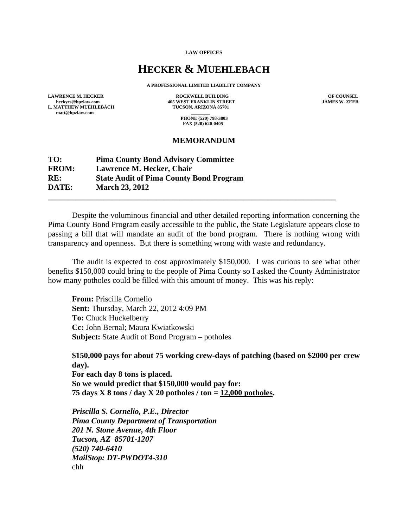**LAW OFFICES** 

## **HECKER & MUEHLEBACH**

**A PROFESSIONAL LIMITED LIABILITY COMPANY** 

**L. MATTHEW MUEHLEBACH matt@hpzlaw.com \_\_\_\_\_\_\_\_** 

LAWRENCE M. HECKER **ROCKWELL BUILDING** OF COUNSEL **DECALL BUILDING** OF COUNSEL **DECALL BUILDING** OF COUNSEL  **405 WEST FRANKLIN STREET TUCSON, ARIZONA 85701** 

 **PHONE (520) 798-3803 FAX (520) 620-0405** 

## **MEMORANDUM**

## **TO: Pima County Bond Advisory Committee FROM: Lawrence M. Hecker, Chair RE: State Audit of Pima County Bond Program DATE: March 23, 2012 \_\_\_\_\_\_\_\_\_\_\_\_\_\_\_\_\_\_\_\_\_\_\_\_\_\_\_\_\_\_\_\_\_\_\_\_\_\_\_\_\_\_\_\_\_\_\_\_\_\_\_\_\_\_\_\_\_\_\_\_\_\_\_\_\_\_\_\_\_\_\_\_**

Despite the voluminous financial and other detailed reporting information concerning the Pima County Bond Program easily accessible to the public, the State Legislature appears close to passing a bill that will mandate an audit of the bond program. There is nothing wrong with transparency and openness. But there is something wrong with waste and redundancy.

The audit is expected to cost approximately \$150,000. I was curious to see what other benefits \$150,000 could bring to the people of Pima County so I asked the County Administrator how many potholes could be filled with this amount of money. This was his reply:

**From:** Priscilla Cornelio **Sent:** Thursday, March 22, 2012 4:09 PM **To:** Chuck Huckelberry **Cc:** John Bernal; Maura Kwiatkowski **Subject:** State Audit of Bond Program – potholes

**\$150,000 pays for about 75 working crew-days of patching (based on \$2000 per crew day). For each day 8 tons is placed.** 

**So we would predict that \$150,000 would pay for: 75 days X 8 tons / day X 20 potholes / ton = 12,000 potholes.** 

*Priscilla S. Cornelio, P.E., Director Pima County Department of Transportation 201 N. Stone Avenue, 4th Floor Tucson, AZ 85701-1207 (520) 740-6410 MailStop: DT-PWDOT4-310*  chh